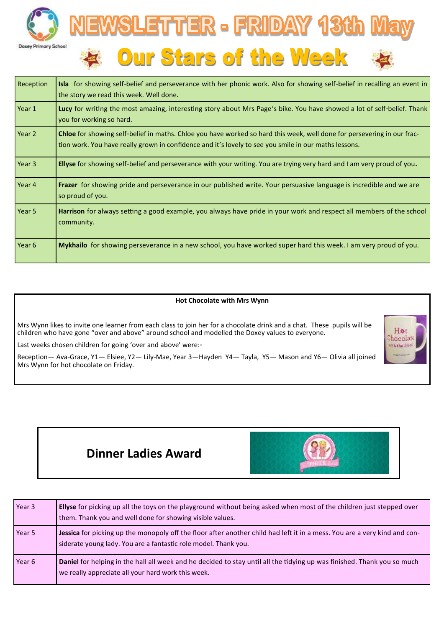



| Reception | Isla for showing self-belief and perseverance with her phonic work. Also for showing self-belief in recalling an event in<br>the story we read this week. Well done.                                                                    |  |
|-----------|-----------------------------------------------------------------------------------------------------------------------------------------------------------------------------------------------------------------------------------------|--|
| Year 1    | Lucy for writing the most amazing, interesting story about Mrs Page's bike. You have showed a lot of self-belief. Thank<br>you for working so hard.                                                                                     |  |
| Year 2    | <b>Chloe</b> for showing self-belief in maths. Chloe you have worked so hard this week, well done for persevering in our frac-<br>tion work. You have really grown in confidence and it's lovely to see you smile in our maths lessons. |  |
| Year 3    | Ellyse for showing self-belief and perseverance with your writing. You are trying very hard and I am very proud of you.                                                                                                                 |  |
| Year 4    | Frazer for showing pride and perseverance in our published write. Your persuasive language is incredible and we are<br>so proud of you.                                                                                                 |  |
| Year 5    | Harrison for always setting a good example, you always have pride in your work and respect all members of the school<br>community.                                                                                                      |  |
| Year 6    | Mykhailo for showing perseverance in a new school, you have worked super hard this week. I am very proud of you.                                                                                                                        |  |

## **Hot Chocolate with Mrs Wynn**

Mrs Wynn likes to invite one learner from each class to join her for a chocolate drink and a chat. These pupils will be children who have gone "over and above" around school and modelled the Doxey values to everyone.

Last weeks chosen children for going 'over and above' were:-

Reception— Ava-Grace, Y1— Elsiee, Y2— Lily-Mae, Year 3—Hayden Y4— Tayla, Y5— Mason and Y6— Olivia all joined Mrs Wynn for hot chocolate on Friday.



## **Dinner Ladies Award**



| Year 3 | Ellyse for picking up all the toys on the playground without being asked when most of the children just stepped over<br>them. Thank you and well done for showing visible values.            |
|--------|----------------------------------------------------------------------------------------------------------------------------------------------------------------------------------------------|
| Year 5 | Jessica for picking up the monopoly off the floor after another child had left it in a mess. You are a very kind and con-<br>siderate young lady. You are a fantastic role model. Thank you. |
| Year 6 | Daniel for helping in the hall all week and he decided to stay until all the tidying up was finished. Thank you so much<br>we really appreciate all your hard work this week.                |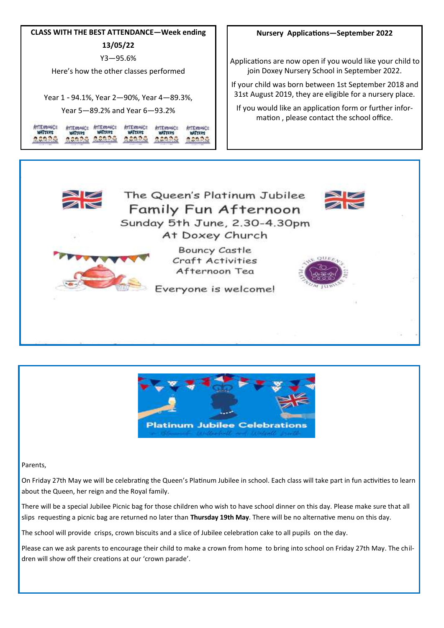

## **Nursery Applications—September 2022**

Applications are now open if you would like your child to join Doxey Nursery School in September 2022.

If your child was born between 1st September 2018 and 31st August 2019, they are eligible for a nursery place.

If you would like an application form or further information , please contact the school office.





Parents,

On Friday 27th May we will be celebrating the Queen's Platinum Jubilee in school. Each class will take part in fun activities to learn about the Queen, her reign and the Royal family.

There will be a special Jubilee Picnic bag for those children who wish to have school dinner on this day. Please make sure that all slips requesting a picnic bag are returned no later than **Thursday 19th May**. There will be no alternative menu on this day.

The school will provide crisps, crown biscuits and a slice of Jubilee celebration cake to all pupils on the day.

Please can we ask parents to encourage their child to make a crown from home to bring into school on Friday 27th May. The children will show off their creations at our 'crown parade'.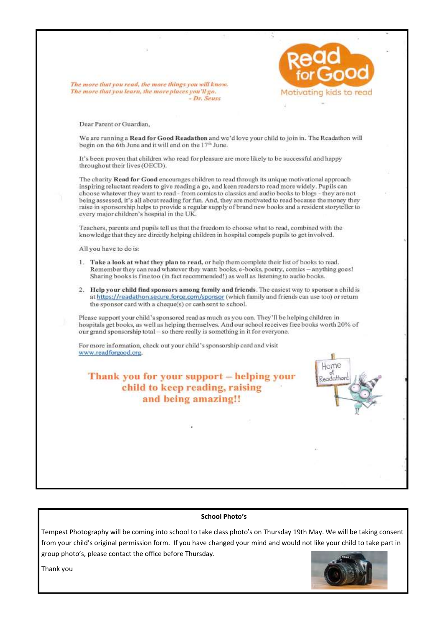

## **School Photo's**

Tempest Photography will be coming into school to take class photo's on Thursday 19th May. We will be taking consent from your child's original permission form. If you have changed your mind and would not like your child to take part in group photo's, please contact the office before Thursday.



Thank you